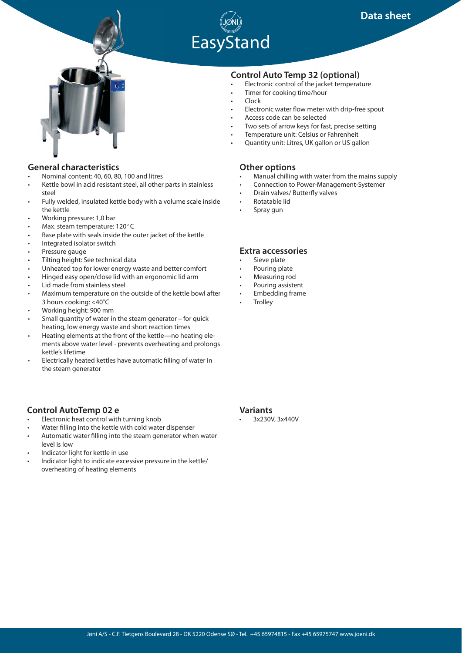





## **General characteristics**

- Nominal content: 40, 60, 80, 100 and litres
- Kettle bowl in acid resistant steel, all other parts in stainless steel
- Fully welded, insulated kettle body with a volume scale inside the kettle
- Working pressure: 1,0 bar
- Max. steam temperature: 120° C
- Base plate with seals inside the outer jacket of the kettle
- Integrated isolator switch
- Pressure gauge
- Tilting height: See technical data
- Unheated top for lower energy waste and better comfort
- Hinged easy open/close lid with an ergonomic lid arm
- Lid made from stainless steel
- Maximum temperature on the outside of the kettle bowl after 3 hours cooking: <40°C
- Working height: 900 mm
- Small quantity of water in the steam generator for quick heating, low energy waste and short reaction times
- Heating elements at the front of the kettle—no heating elements above water level - prevents overheating and prolongs kettle's lifetime
- Electrically heated kettles have automatic filling of water in the steam generator

# **Control AutoTemp 02 e**

- Electronic heat control with turning knob
- Water filling into the kettle with cold water dispenser
- Automatic water filling into the steam generator when water level is low
- Indicator light for kettle in use
- Indicator light to indicate excessive pressure in the kettle/ overheating of heating elements

# **Control Auto Temp 32 (optional)**

- Electronic control of the jacket temperature
- Timer for cooking time/hour
- Clock
- Electronic water flow meter with drip-free spout
- Access code can be selected
- Two sets of arrow keys for fast, precise setting
- Temperature unit: Celsius or Fahrenheit
- Quantity unit: Litres, UK gallon or US gallon

## **Other options**

- Manual chilling with water from the mains supply
- Connection to Power-Management-Systemer
- Drain valves/ Butterfly valves
- Rotatable lid
- Spray gun

# **Extra accessories**

- Sieve plate
- Pouring plate
- Measuring rod
- Pouring assistent • Embedding frame
- **Trolley**

#### **Variants**

• 3x230V, 3x440V